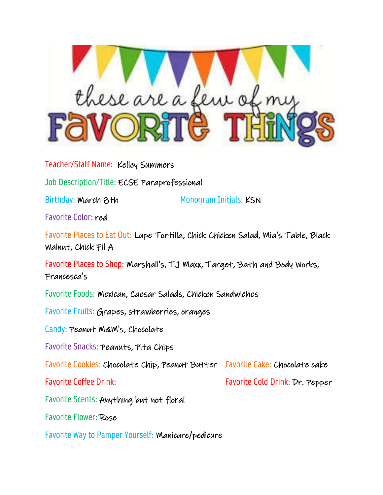

Teacher/Staff Name: Kelley Summers

Job Description/Title: ECSE Paraprofessional

Birthday: March 8th Monogram Initials: KSN

Favorite Color: red

Favorite Places to Eat Out: Lupe Tortilla, Chick Chicken Salad, Mia's Table, Black Walnut, Chick Fil A

Favorite Places to Shop: Marshall's, TJ Maxx, Target, Bath and Body Works, Francesca's

Favorite Foods: Mexican, Caesar Salads, Chicken Sandwiches

Favorite Fruits: Grapes, strawberries, oranges

Candy: Peanut M&M's, Chocolate

Favorite Snacks: Peanuts, Pita Chips

Favorite Cookies: Chocolate Chip, Peanut Butter Favorite Cake: Chocolate cake

Favorite Coffee Drink: Favorite Cold Drink: Dr. Pepper

Favorite Scents: Anything but not floral

Favorite Flower: Rose

Favorite Way to Pamper Yourself: Manicure/pedicure